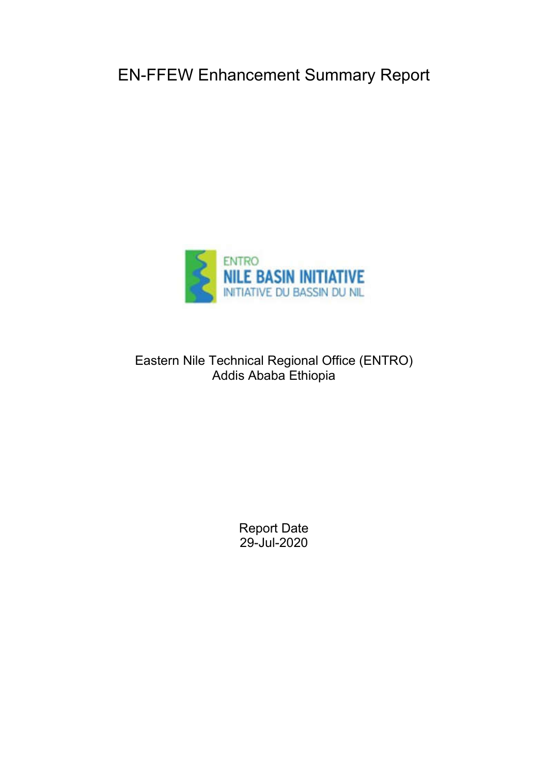EN-FFEW Enhancement Summary Report



Eastern Nile Technical Regional Office (ENTRO) Addis Ababa Ethiopia

> Report Date 29-Jul-2020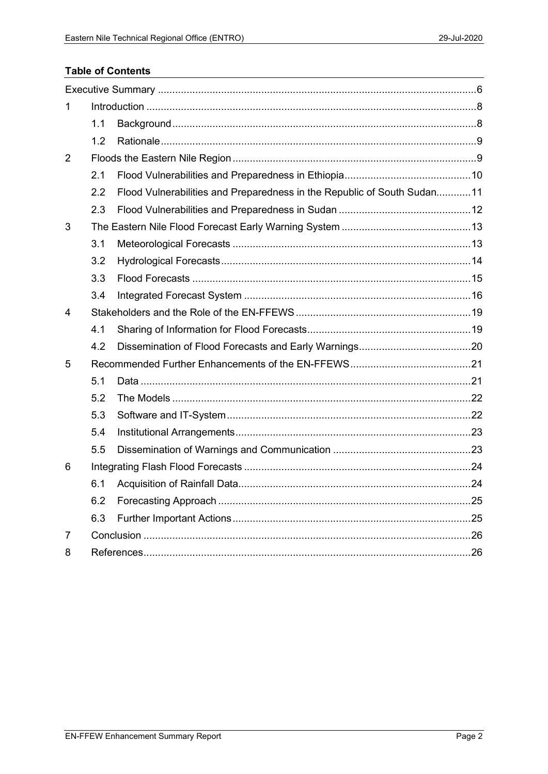# **Table of Contents**

| 1 |     |                                                                         |  |
|---|-----|-------------------------------------------------------------------------|--|
|   | 1.1 |                                                                         |  |
|   | 1.2 |                                                                         |  |
| 2 |     |                                                                         |  |
|   | 2.1 |                                                                         |  |
|   | 2.2 | Flood Vulnerabilities and Preparedness in the Republic of South Sudan11 |  |
|   | 2.3 |                                                                         |  |
| 3 |     |                                                                         |  |
|   | 3.1 |                                                                         |  |
|   | 3.2 |                                                                         |  |
|   | 3.3 |                                                                         |  |
|   | 3.4 |                                                                         |  |
| 4 |     |                                                                         |  |
|   | 4.1 |                                                                         |  |
|   | 4.2 |                                                                         |  |
| 5 |     |                                                                         |  |
|   | 5.1 |                                                                         |  |
|   | 5.2 |                                                                         |  |
|   | 5.3 |                                                                         |  |
|   | 5.4 |                                                                         |  |
|   | 5.5 |                                                                         |  |
| 6 |     |                                                                         |  |
|   | 6.1 |                                                                         |  |
|   | 6.2 |                                                                         |  |
|   | 6.3 |                                                                         |  |
| 7 |     |                                                                         |  |
| 8 |     |                                                                         |  |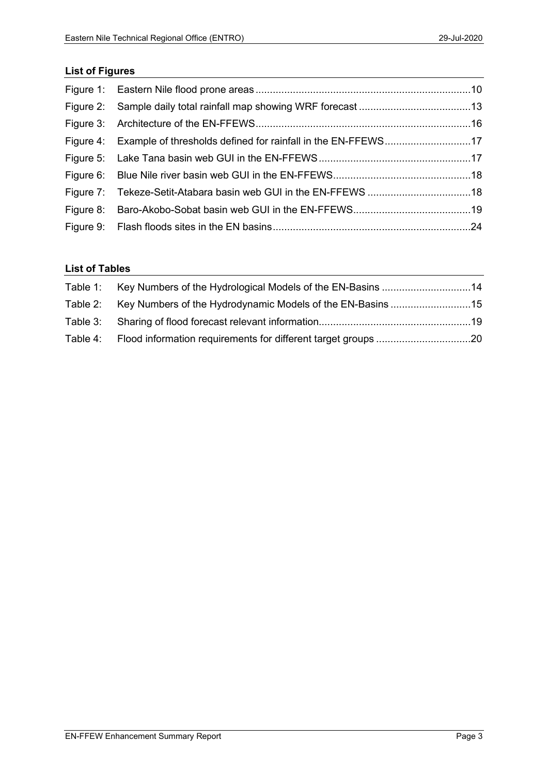# List of Figures

| Figure 4: Example of thresholds defined for rainfall in the EN-FFEWS17 |  |
|------------------------------------------------------------------------|--|
|                                                                        |  |
|                                                                        |  |
|                                                                        |  |
|                                                                        |  |
|                                                                        |  |

## List of Tables

| Table 1: Key Numbers of the Hydrological Models of the EN-Basins 14 |  |
|---------------------------------------------------------------------|--|
| Table 2: Key Numbers of the Hydrodynamic Models of the EN-Basins 15 |  |
|                                                                     |  |
|                                                                     |  |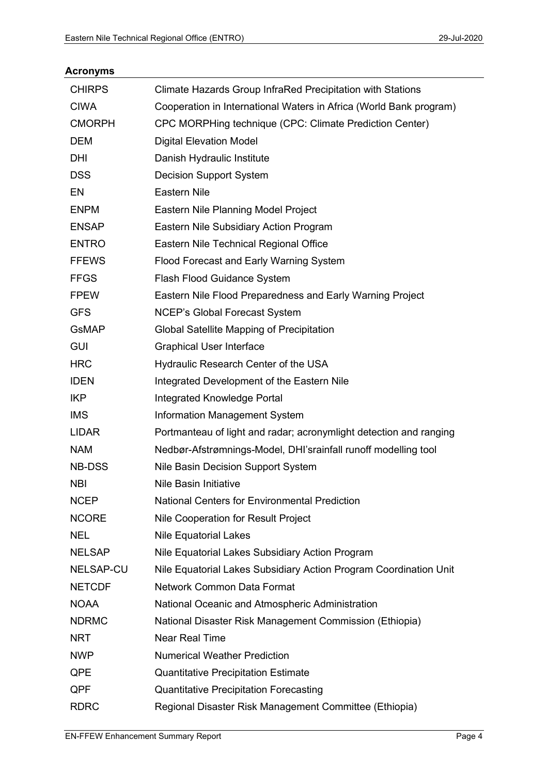| <b>CHIRPS</b>    | Climate Hazards Group InfraRed Precipitation with Stations         |
|------------------|--------------------------------------------------------------------|
| <b>CIWA</b>      | Cooperation in International Waters in Africa (World Bank program) |
| <b>CMORPH</b>    | CPC MORPHing technique (CPC: Climate Prediction Center)            |
| <b>DEM</b>       | <b>Digital Elevation Model</b>                                     |
| DHI              | Danish Hydraulic Institute                                         |
| <b>DSS</b>       | <b>Decision Support System</b>                                     |
| EN               | <b>Eastern Nile</b>                                                |
| <b>ENPM</b>      | Eastern Nile Planning Model Project                                |
| <b>ENSAP</b>     | Eastern Nile Subsidiary Action Program                             |
| <b>ENTRO</b>     | Eastern Nile Technical Regional Office                             |
| <b>FFEWS</b>     | Flood Forecast and Early Warning System                            |
| <b>FFGS</b>      | Flash Flood Guidance System                                        |
| <b>FPEW</b>      | Eastern Nile Flood Preparedness and Early Warning Project          |
| <b>GFS</b>       | <b>NCEP's Global Forecast System</b>                               |
| <b>GsMAP</b>     | Global Satellite Mapping of Precipitation                          |
| <b>GUI</b>       | <b>Graphical User Interface</b>                                    |
| <b>HRC</b>       | Hydraulic Research Center of the USA                               |
| <b>IDEN</b>      | Integrated Development of the Eastern Nile                         |
| <b>IKP</b>       | Integrated Knowledge Portal                                        |
| <b>IMS</b>       | <b>Information Management System</b>                               |
| LIDAR            | Portmanteau of light and radar; acronymlight detection and ranging |
| <b>NAM</b>       | Nedbør-Afstrømnings-Model, DHI'srainfall runoff modelling tool     |
| <b>NB-DSS</b>    | Nile Basin Decision Support System                                 |
| <b>NBI</b>       | Nile Basin Initiative                                              |
| <b>NCEP</b>      | <b>National Centers for Environmental Prediction</b>               |
| <b>NCORE</b>     | Nile Cooperation for Result Project                                |
| <b>NEL</b>       | <b>Nile Equatorial Lakes</b>                                       |
| <b>NELSAP</b>    | Nile Equatorial Lakes Subsidiary Action Program                    |
| <b>NELSAP-CU</b> | Nile Equatorial Lakes Subsidiary Action Program Coordination Unit  |
| <b>NETCDF</b>    | <b>Network Common Data Format</b>                                  |
| <b>NOAA</b>      | National Oceanic and Atmospheric Administration                    |
| <b>NDRMC</b>     | National Disaster Risk Management Commission (Ethiopia)            |
| <b>NRT</b>       | <b>Near Real Time</b>                                              |
| <b>NWP</b>       | <b>Numerical Weather Prediction</b>                                |
| QPE              | <b>Quantitative Precipitation Estimate</b>                         |
| QPF              | <b>Quantitative Precipitation Forecasting</b>                      |
| <b>RDRC</b>      | Regional Disaster Risk Management Committee (Ethiopia)             |

#### Acronyms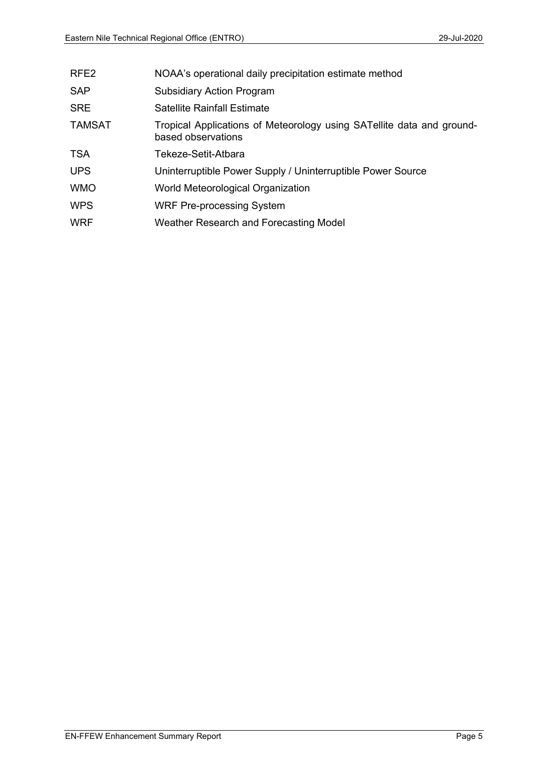| RFE <sub>2</sub> | NOAA's operational daily precipitation estimate method                                      |
|------------------|---------------------------------------------------------------------------------------------|
| <b>SAP</b>       | <b>Subsidiary Action Program</b>                                                            |
| <b>SRE</b>       | <b>Satellite Rainfall Estimate</b>                                                          |
| <b>TAMSAT</b>    | Tropical Applications of Meteorology using SATellite data and ground-<br>based observations |
| <b>TSA</b>       | Tekeze-Setit-Atbara                                                                         |
| <b>UPS</b>       | Uninterruptible Power Supply / Uninterruptible Power Source                                 |
| <b>WMO</b>       | World Meteorological Organization                                                           |
| <b>WPS</b>       | <b>WRF Pre-processing System</b>                                                            |
| <b>WRF</b>       | Weather Research and Forecasting Model                                                      |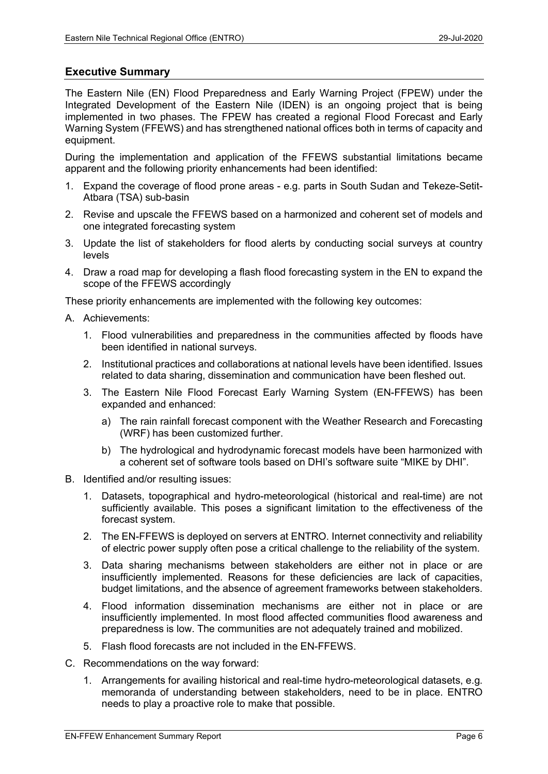### Executive Summary

The Eastern Nile (EN) Flood Preparedness and Early Warning Project (FPEW) under the Integrated Development of the Eastern Nile (IDEN) is an ongoing project that is being implemented in two phases. The FPEW has created a regional Flood Forecast and Early Warning System (FFEWS) and has strengthened national offices both in terms of capacity and equipment.

During the implementation and application of the FFEWS substantial limitations became apparent and the following priority enhancements had been identified:

- 1. Expand the coverage of flood prone areas e.g. parts in South Sudan and Tekeze-Setit-Atbara (TSA) sub-basin
- 2. Revise and upscale the FFEWS based on a harmonized and coherent set of models and one integrated forecasting system
- 3. Update the list of stakeholders for flood alerts by conducting social surveys at country levels
- 4. Draw a road map for developing a flash flood forecasting system in the EN to expand the scope of the FFEWS accordingly

These priority enhancements are implemented with the following key outcomes:

- A. Achievements:
	- 1. Flood vulnerabilities and preparedness in the communities affected by floods have been identified in national surveys.
	- 2. Institutional practices and collaborations at national levels have been identified. Issues related to data sharing, dissemination and communication have been fleshed out.
	- 3. The Eastern Nile Flood Forecast Early Warning System (EN-FFEWS) has been expanded and enhanced:
		- a) The rain rainfall forecast component with the Weather Research and Forecasting (WRF) has been customized further.
		- b) The hydrological and hydrodynamic forecast models have been harmonized with a coherent set of software tools based on DHI's software suite "MIKE by DHI".
- B. Identified and/or resulting issues:
	- 1. Datasets, topographical and hydro-meteorological (historical and real-time) are not sufficiently available. This poses a significant limitation to the effectiveness of the forecast system.
	- 2. The EN-FFEWS is deployed on servers at ENTRO. Internet connectivity and reliability of electric power supply often pose a critical challenge to the reliability of the system.
	- 3. Data sharing mechanisms between stakeholders are either not in place or are insufficiently implemented. Reasons for these deficiencies are lack of capacities, budget limitations, and the absence of agreement frameworks between stakeholders.
	- 4. Flood information dissemination mechanisms are either not in place or are insufficiently implemented. In most flood affected communities flood awareness and preparedness is low. The communities are not adequately trained and mobilized.
	- 5. Flash flood forecasts are not included in the EN-FFEWS.
- C. Recommendations on the way forward:
	- 1. Arrangements for availing historical and real-time hydro-meteorological datasets, e.g. memoranda of understanding between stakeholders, need to be in place. ENTRO needs to play a proactive role to make that possible.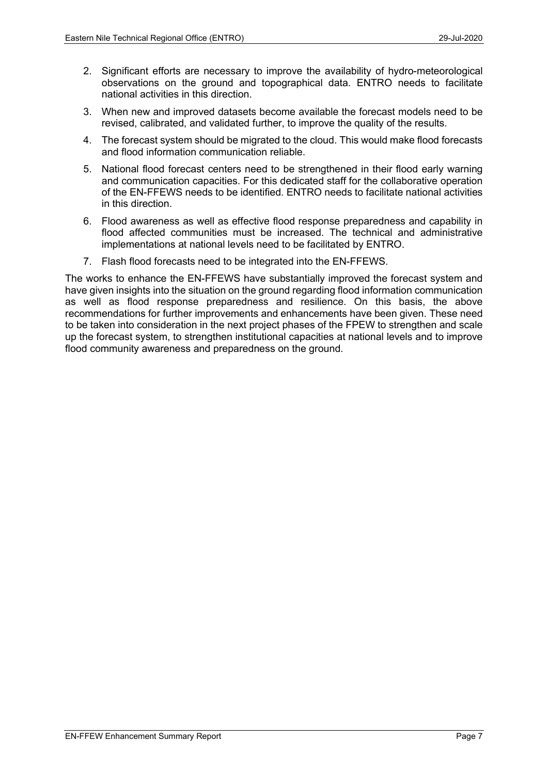- 2. Significant efforts are necessary to improve the availability of hydro-meteorological observations on the ground and topographical data. ENTRO needs to facilitate national activities in this direction.
- 3. When new and improved datasets become available the forecast models need to be revised, calibrated, and validated further, to improve the quality of the results.
- 4. The forecast system should be migrated to the cloud. This would make flood forecasts and flood information communication reliable.
- 5. National flood forecast centers need to be strengthened in their flood early warning and communication capacities. For this dedicated staff for the collaborative operation of the EN-FFEWS needs to be identified. ENTRO needs to facilitate national activities in this direction.
- 6. Flood awareness as well as effective flood response preparedness and capability in flood affected communities must be increased. The technical and administrative implementations at national levels need to be facilitated by ENTRO.
- 7. Flash flood forecasts need to be integrated into the EN-FFEWS.

The works to enhance the EN-FFEWS have substantially improved the forecast system and have given insights into the situation on the ground regarding flood information communication as well as flood response preparedness and resilience. On this basis, the above recommendations for further improvements and enhancements have been given. These need to be taken into consideration in the next project phases of the FPEW to strengthen and scale up the forecast system, to strengthen institutional capacities at national levels and to improve flood community awareness and preparedness on the ground.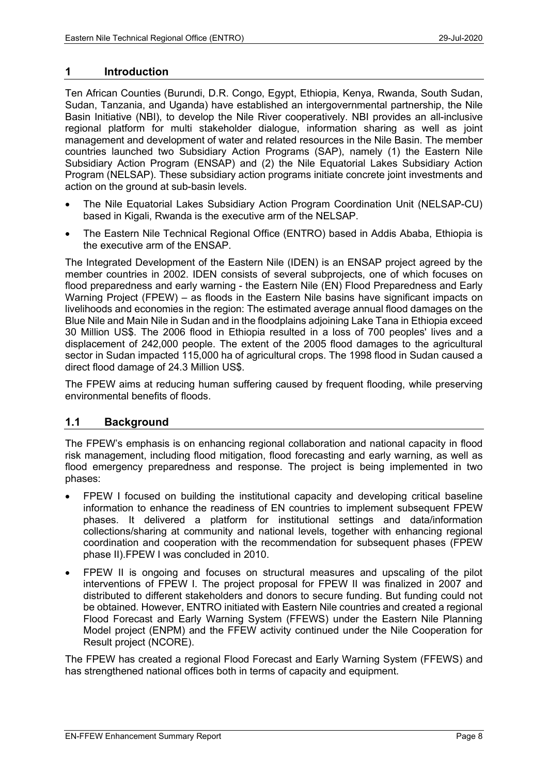#### 1 Introduction

Ten African Counties (Burundi, D.R. Congo, Egypt, Ethiopia, Kenya, Rwanda, South Sudan, Sudan, Tanzania, and Uganda) have established an intergovernmental partnership, the Nile Basin Initiative (NBI), to develop the Nile River cooperatively. NBI provides an all-inclusive regional platform for multi stakeholder dialogue, information sharing as well as joint management and development of water and related resources in the Nile Basin. The member countries launched two Subsidiary Action Programs (SAP), namely (1) the Eastern Nile Subsidiary Action Program (ENSAP) and (2) the Nile Equatorial Lakes Subsidiary Action Program (NELSAP). These subsidiary action programs initiate concrete joint investments and action on the ground at sub-basin levels.

- The Nile Equatorial Lakes Subsidiary Action Program Coordination Unit (NELSAP-CU) based in Kigali, Rwanda is the executive arm of the NELSAP.
- The Eastern Nile Technical Regional Office (ENTRO) based in Addis Ababa, Ethiopia is the executive arm of the ENSAP.

The Integrated Development of the Eastern Nile (IDEN) is an ENSAP project agreed by the member countries in 2002. IDEN consists of several subprojects, one of which focuses on flood preparedness and early warning - the Eastern Nile (EN) Flood Preparedness and Early Warning Project (FPEW) – as floods in the Eastern Nile basins have significant impacts on livelihoods and economies in the region: The estimated average annual flood damages on the Blue Nile and Main Nile in Sudan and in the floodplains adjoining Lake Tana in Ethiopia exceed 30 Million US\$. The 2006 flood in Ethiopia resulted in a loss of 700 peoples' lives and a displacement of 242,000 people. The extent of the 2005 flood damages to the agricultural sector in Sudan impacted 115,000 ha of agricultural crops. The 1998 flood in Sudan caused a direct flood damage of 24.3 Million US\$.

The FPEW aims at reducing human suffering caused by frequent flooding, while preserving environmental benefits of floods.

### 1.1 Background

The FPEW's emphasis is on enhancing regional collaboration and national capacity in flood risk management, including flood mitigation, flood forecasting and early warning, as well as flood emergency preparedness and response. The project is being implemented in two phases:

- FPEW I focused on building the institutional capacity and developing critical baseline information to enhance the readiness of EN countries to implement subsequent FPEW phases. It delivered a platform for institutional settings and data/information collections/sharing at community and national levels, together with enhancing regional coordination and cooperation with the recommendation for subsequent phases (FPEW phase II).FPEW I was concluded in 2010.
- FPEW II is ongoing and focuses on structural measures and upscaling of the pilot interventions of FPEW I. The project proposal for FPEW II was finalized in 2007 and distributed to different stakeholders and donors to secure funding. But funding could not be obtained. However, ENTRO initiated with Eastern Nile countries and created a regional Flood Forecast and Early Warning System (FFEWS) under the Eastern Nile Planning Model project (ENPM) and the FFEW activity continued under the Nile Cooperation for Result project (NCORE).

The FPEW has created a regional Flood Forecast and Early Warning System (FFEWS) and has strengthened national offices both in terms of capacity and equipment.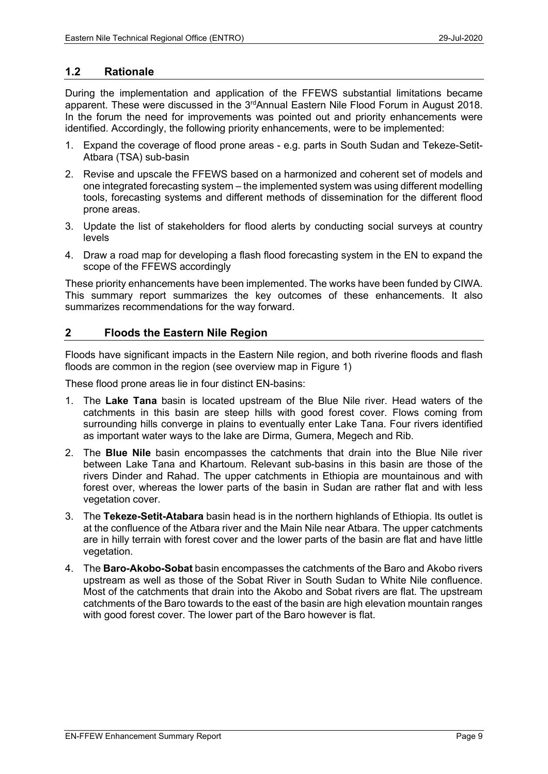#### 1.2 Rationale

During the implementation and application of the FFEWS substantial limitations became apparent. These were discussed in the 3<sup>rd</sup>Annual Eastern Nile Flood Forum in August 2018. In the forum the need for improvements was pointed out and priority enhancements were identified. Accordingly, the following priority enhancements, were to be implemented:

- 1. Expand the coverage of flood prone areas e.g. parts in South Sudan and Tekeze-Setit-Atbara (TSA) sub-basin
- 2. Revise and upscale the FFEWS based on a harmonized and coherent set of models and one integrated forecasting system – the implemented system was using different modelling tools, forecasting systems and different methods of dissemination for the different flood prone areas.
- 3. Update the list of stakeholders for flood alerts by conducting social surveys at country levels
- 4. Draw a road map for developing a flash flood forecasting system in the EN to expand the scope of the FFEWS accordingly

These priority enhancements have been implemented. The works have been funded by CIWA. This summary report summarizes the key outcomes of these enhancements. It also summarizes recommendations for the way forward.

### 2 Floods the Eastern Nile Region

Floods have significant impacts in the Eastern Nile region, and both riverine floods and flash floods are common in the region (see overview map in Figure 1)

These flood prone areas lie in four distinct EN-basins:

- 1. The Lake Tana basin is located upstream of the Blue Nile river. Head waters of the catchments in this basin are steep hills with good forest cover. Flows coming from surrounding hills converge in plains to eventually enter Lake Tana. Four rivers identified as important water ways to the lake are Dirma, Gumera, Megech and Rib.
- 2. The Blue Nile basin encompasses the catchments that drain into the Blue Nile river between Lake Tana and Khartoum. Relevant sub-basins in this basin are those of the rivers Dinder and Rahad. The upper catchments in Ethiopia are mountainous and with forest over, whereas the lower parts of the basin in Sudan are rather flat and with less vegetation cover.
- 3. The Tekeze-Setit-Atabara basin head is in the northern highlands of Ethiopia. Its outlet is at the confluence of the Atbara river and the Main Nile near Atbara. The upper catchments are in hilly terrain with forest cover and the lower parts of the basin are flat and have little vegetation.
- 4. The Baro-Akobo-Sobat basin encompasses the catchments of the Baro and Akobo rivers upstream as well as those of the Sobat River in South Sudan to White Nile confluence. Most of the catchments that drain into the Akobo and Sobat rivers are flat. The upstream catchments of the Baro towards to the east of the basin are high elevation mountain ranges with good forest cover. The lower part of the Baro however is flat.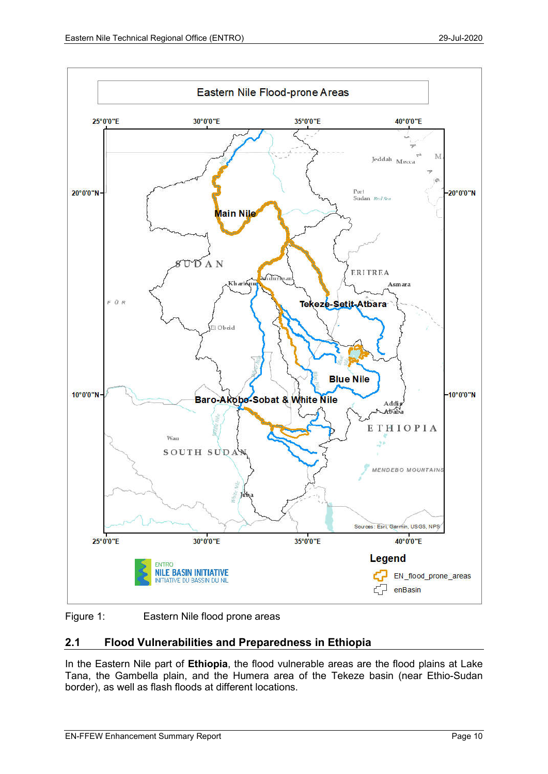

Figure 1: Eastern Nile flood prone areas

# 2.1 Flood Vulnerabilities and Preparedness in Ethiopia

In the Eastern Nile part of Ethiopia, the flood vulnerable areas are the flood plains at Lake Tana, the Gambella plain, and the Humera area of the Tekeze basin (near Ethio-Sudan border), as well as flash floods at different locations.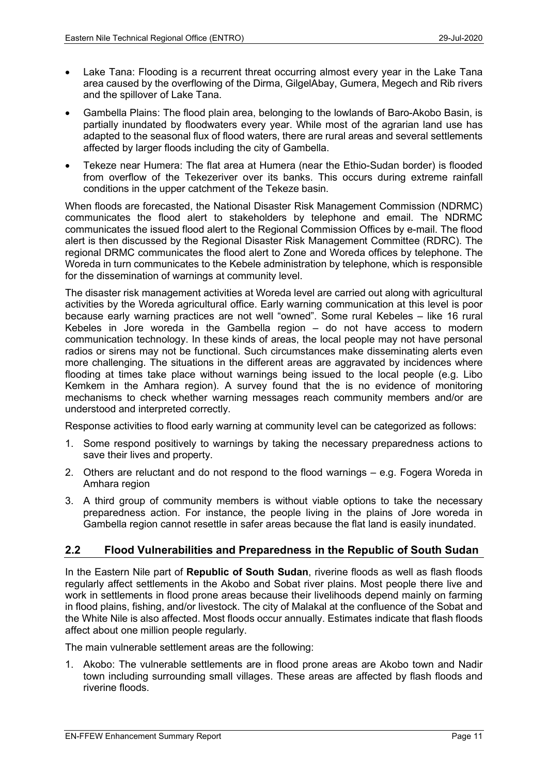- Lake Tana: Flooding is a recurrent threat occurring almost every year in the Lake Tana area caused by the overflowing of the Dirma, GilgelAbay, Gumera, Megech and Rib rivers and the spillover of Lake Tana.
- Gambella Plains: The flood plain area, belonging to the lowlands of Baro-Akobo Basin, is partially inundated by floodwaters every year. While most of the agrarian land use has adapted to the seasonal flux of flood waters, there are rural areas and several settlements affected by larger floods including the city of Gambella.
- Tekeze near Humera: The flat area at Humera (near the Ethio-Sudan border) is flooded from overflow of the Tekezeriver over its banks. This occurs during extreme rainfall conditions in the upper catchment of the Tekeze basin.

When floods are forecasted, the National Disaster Risk Management Commission (NDRMC) communicates the flood alert to stakeholders by telephone and email. The NDRMC communicates the issued flood alert to the Regional Commission Offices by e-mail. The flood alert is then discussed by the Regional Disaster Risk Management Committee (RDRC). The regional DRMC communicates the flood alert to Zone and Woreda offices by telephone. The Woreda in turn communicates to the Kebele administration by telephone, which is responsible for the dissemination of warnings at community level.

The disaster risk management activities at Woreda level are carried out along with agricultural activities by the Woreda agricultural office. Early warning communication at this level is poor because early warning practices are not well "owned". Some rural Kebeles – like 16 rural Kebeles in Jore woreda in the Gambella region – do not have access to modern communication technology. In these kinds of areas, the local people may not have personal radios or sirens may not be functional. Such circumstances make disseminating alerts even more challenging. The situations in the different areas are aggravated by incidences where flooding at times take place without warnings being issued to the local people (e.g. Libo Kemkem in the Amhara region). A survey found that the is no evidence of monitoring mechanisms to check whether warning messages reach community members and/or are understood and interpreted correctly.

Response activities to flood early warning at community level can be categorized as follows:

- 1. Some respond positively to warnings by taking the necessary preparedness actions to save their lives and property.
- 2. Others are reluctant and do not respond to the flood warnings e.g. Fogera Woreda in Amhara region
- 3. A third group of community members is without viable options to take the necessary preparedness action. For instance, the people living in the plains of Jore woreda in Gambella region cannot resettle in safer areas because the flat land is easily inundated.

### 2.2 Flood Vulnerabilities and Preparedness in the Republic of South Sudan

In the Eastern Nile part of Republic of South Sudan, riverine floods as well as flash floods regularly affect settlements in the Akobo and Sobat river plains. Most people there live and work in settlements in flood prone areas because their livelihoods depend mainly on farming in flood plains, fishing, and/or livestock. The city of Malakal at the confluence of the Sobat and the White Nile is also affected. Most floods occur annually. Estimates indicate that flash floods affect about one million people regularly.

The main vulnerable settlement areas are the following:

1. Akobo: The vulnerable settlements are in flood prone areas are Akobo town and Nadir town including surrounding small villages. These areas are affected by flash floods and riverine floods.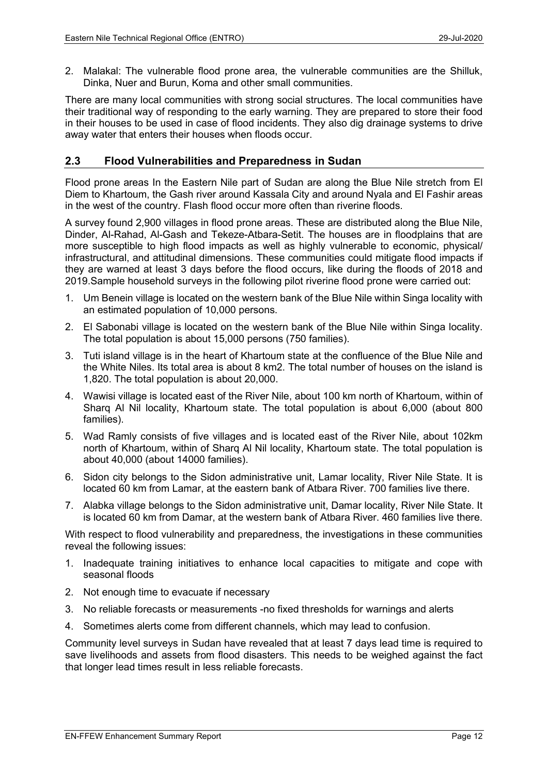2. Malakal: The vulnerable flood prone area, the vulnerable communities are the Shilluk, Dinka, Nuer and Burun, Koma and other small communities.

There are many local communities with strong social structures. The local communities have their traditional way of responding to the early warning. They are prepared to store their food in their houses to be used in case of flood incidents. They also dig drainage systems to drive away water that enters their houses when floods occur.

### 2.3 Flood Vulnerabilities and Preparedness in Sudan

Flood prone areas In the Eastern Nile part of Sudan are along the Blue Nile stretch from El Diem to Khartoum, the Gash river around Kassala City and around Nyala and El Fashir areas in the west of the country. Flash flood occur more often than riverine floods.

A survey found 2,900 villages in flood prone areas. These are distributed along the Blue Nile, Dinder, Al-Rahad, Al-Gash and Tekeze-Atbara-Setit. The houses are in floodplains that are more susceptible to high flood impacts as well as highly vulnerable to economic, physical/ infrastructural, and attitudinal dimensions. These communities could mitigate flood impacts if they are warned at least 3 days before the flood occurs, like during the floods of 2018 and 2019.Sample household surveys in the following pilot riverine flood prone were carried out:

- 1. Um Benein village is located on the western bank of the Blue Nile within Singa locality with an estimated population of 10,000 persons.
- 2. El Sabonabi village is located on the western bank of the Blue Nile within Singa locality. The total population is about 15,000 persons (750 families).
- 3. Tuti island village is in the heart of Khartoum state at the confluence of the Blue Nile and the White Niles. Its total area is about 8 km2. The total number of houses on the island is 1,820. The total population is about 20,000.
- 4. Wawisi village is located east of the River Nile, about 100 km north of Khartoum, within of Sharq Al Nil locality, Khartoum state. The total population is about 6,000 (about 800 families).
- 5. Wad Ramly consists of five villages and is located east of the River Nile, about 102km north of Khartoum, within of Sharq Al Nil locality, Khartoum state. The total population is about 40,000 (about 14000 families).
- 6. Sidon city belongs to the Sidon administrative unit, Lamar locality, River Nile State. It is located 60 km from Lamar, at the eastern bank of Atbara River. 700 families live there.
- 7. Alabka village belongs to the Sidon administrative unit, Damar locality, River Nile State. It is located 60 km from Damar, at the western bank of Atbara River. 460 families live there.

With respect to flood vulnerability and preparedness, the investigations in these communities reveal the following issues:

- 1. Inadequate training initiatives to enhance local capacities to mitigate and cope with seasonal floods
- 2. Not enough time to evacuate if necessary
- 3. No reliable forecasts or measurements -no fixed thresholds for warnings and alerts
- 4. Sometimes alerts come from different channels, which may lead to confusion.

Community level surveys in Sudan have revealed that at least 7 days lead time is required to save livelihoods and assets from flood disasters. This needs to be weighed against the fact that longer lead times result in less reliable forecasts.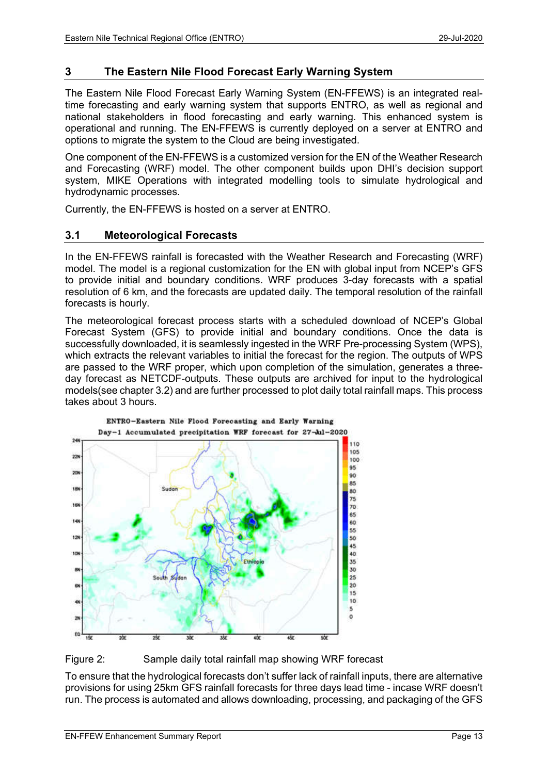# 3 The Eastern Nile Flood Forecast Early Warning System

The Eastern Nile Flood Forecast Early Warning System (EN-FFEWS) is an integrated realtime forecasting and early warning system that supports ENTRO, as well as regional and national stakeholders in flood forecasting and early warning. This enhanced system is operational and running. The EN-FFEWS is currently deployed on a server at ENTRO and options to migrate the system to the Cloud are being investigated.

One component of the EN-FFEWS is a customized version for the EN of the Weather Research and Forecasting (WRF) model. The other component builds upon DHI's decision support system, MIKE Operations with integrated modelling tools to simulate hydrological and hydrodynamic processes.

Currently, the EN-FFEWS is hosted on a server at ENTRO.

## 3.1 Meteorological Forecasts

In the EN-FFEWS rainfall is forecasted with the Weather Research and Forecasting (WRF) model. The model is a regional customization for the EN with global input from NCEP's GFS to provide initial and boundary conditions. WRF produces 3-day forecasts with a spatial resolution of 6 km, and the forecasts are updated daily. The temporal resolution of the rainfall forecasts is hourly.

The meteorological forecast process starts with a scheduled download of NCEP's Global Forecast System (GFS) to provide initial and boundary conditions. Once the data is successfully downloaded, it is seamlessly ingested in the WRF Pre-processing System (WPS), which extracts the relevant variables to initial the forecast for the region. The outputs of WPS are passed to the WRF proper, which upon completion of the simulation, generates a threeday forecast as NETCDF-outputs. These outputs are archived for input to the hydrological models(see chapter 3.2) and are further processed to plot daily total rainfall maps. This process takes about 3 hours.



Figure 2: Sample daily total rainfall map showing WRF forecast

To ensure that the hydrological forecasts don't suffer lack of rainfall inputs, there are alternative provisions for using 25km GFS rainfall forecasts for three days lead time - incase WRF doesn't run. The process is automated and allows downloading, processing, and packaging of the GFS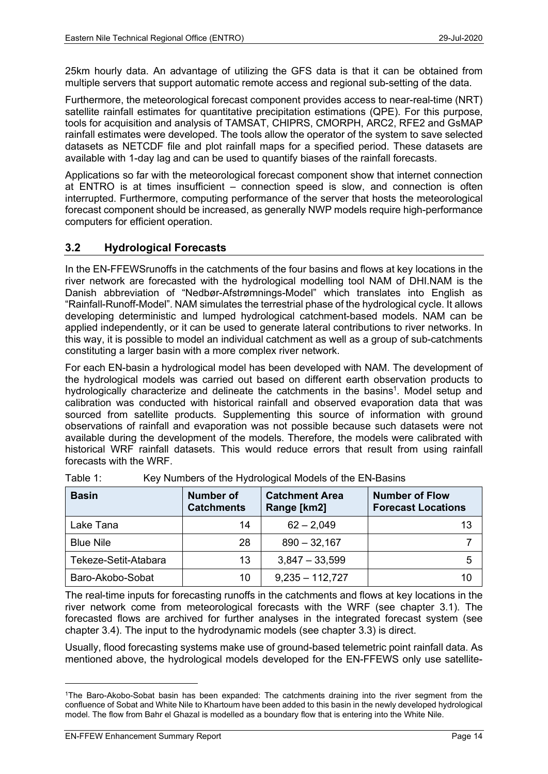25km hourly data. An advantage of utilizing the GFS data is that it can be obtained from multiple servers that support automatic remote access and regional sub-setting of the data.

Furthermore, the meteorological forecast component provides access to near-real-time (NRT) satellite rainfall estimates for quantitative precipitation estimations (QPE). For this purpose, tools for acquisition and analysis of TAMSAT, CHIPRS, CMORPH, ARC2, RFE2 and GsMAP rainfall estimates were developed. The tools allow the operator of the system to save selected datasets as NETCDF file and plot rainfall maps for a specified period. These datasets are available with 1-day lag and can be used to quantify biases of the rainfall forecasts.

Applications so far with the meteorological forecast component show that internet connection at ENTRO is at times insufficient – connection speed is slow, and connection is often interrupted. Furthermore, computing performance of the server that hosts the meteorological forecast component should be increased, as generally NWP models require high-performance computers for efficient operation.

# 3.2 Hydrological Forecasts

In the EN-FFEWSrunoffs in the catchments of the four basins and flows at key locations in the river network are forecasted with the hydrological modelling tool NAM of DHI.NAM is the Danish abbreviation of "Nedbør-Afstrømnings-Model" which translates into English as "Rainfall-Runoff-Model". NAM simulates the terrestrial phase of the hydrological cycle. It allows developing deterministic and lumped hydrological catchment-based models. NAM can be applied independently, or it can be used to generate lateral contributions to river networks. In this way, it is possible to model an individual catchment as well as a group of sub-catchments constituting a larger basin with a more complex river network.

For each EN-basin a hydrological model has been developed with NAM. The development of the hydrological models was carried out based on different earth observation products to hydrologically characterize and delineate the catchments in the basins<sup>1</sup>. Model setup and calibration was conducted with historical rainfall and observed evaporation data that was sourced from satellite products. Supplementing this source of information with ground observations of rainfall and evaporation was not possible because such datasets were not available during the development of the models. Therefore, the models were calibrated with historical WRF rainfall datasets. This would reduce errors that result from using rainfall forecasts with the WRF.

| <b>Basin</b>         | <b>Number of</b><br><b>Catchments</b> | <b>Catchment Area</b><br>Range [km2] | <b>Number of Flow</b><br><b>Forecast Locations</b> |
|----------------------|---------------------------------------|--------------------------------------|----------------------------------------------------|
| Lake Tana            | 14                                    | $62 - 2,049$                         | 13                                                 |
| <b>Blue Nile</b>     | 28                                    | $890 - 32,167$                       |                                                    |
| Tekeze-Setit-Atabara | 13                                    | $3,847 - 33,599$                     | 5                                                  |
| Baro-Akobo-Sobat     | 10                                    | $9,235 - 112,727$                    | 10                                                 |

Table 1: Key Numbers of the Hydrological Models of the EN-Basins

The real-time inputs for forecasting runoffs in the catchments and flows at key locations in the river network come from meteorological forecasts with the WRF (see chapter 3.1). The forecasted flows are archived for further analyses in the integrated forecast system (see chapter 3.4). The input to the hydrodynamic models (see chapter 3.3) is direct.

Usually, flood forecasting systems make use of ground-based telemetric point rainfall data. As mentioned above, the hydrological models developed for the EN-FFEWS only use satellite-

<sup>1</sup>The Baro-Akobo-Sobat basin has been expanded: The catchments draining into the river segment from the confluence of Sobat and White Nile to Khartoum have been added to this basin in the newly developed hydrological model. The flow from Bahr el Ghazal is modelled as a boundary flow that is entering into the White Nile.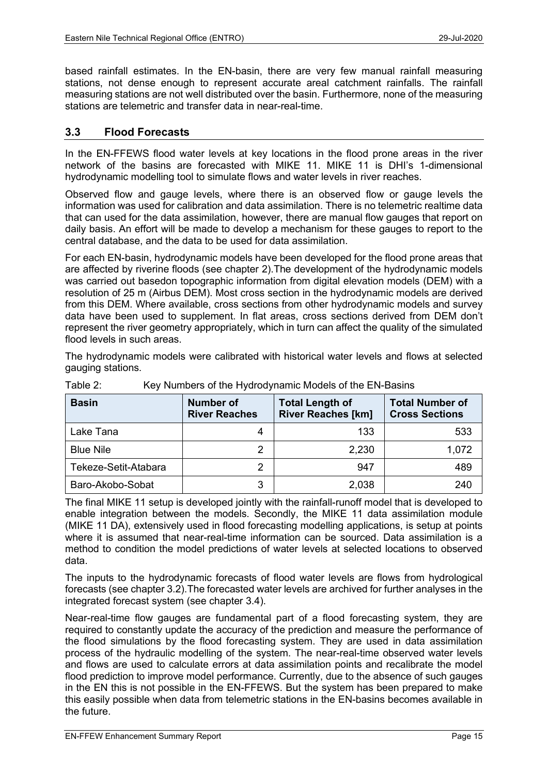based rainfall estimates. In the EN-basin, there are very few manual rainfall measuring stations, not dense enough to represent accurate areal catchment rainfalls. The rainfall measuring stations are not well distributed over the basin. Furthermore, none of the measuring stations are telemetric and transfer data in near-real-time.

## 3.3 Flood Forecasts

In the EN-FFEWS flood water levels at key locations in the flood prone areas in the river network of the basins are forecasted with MIKE 11. MIKE 11 is DHI's 1-dimensional hydrodynamic modelling tool to simulate flows and water levels in river reaches.

Observed flow and gauge levels, where there is an observed flow or gauge levels the information was used for calibration and data assimilation. There is no telemetric realtime data that can used for the data assimilation, however, there are manual flow gauges that report on daily basis. An effort will be made to develop a mechanism for these gauges to report to the central database, and the data to be used for data assimilation.

For each EN-basin, hydrodynamic models have been developed for the flood prone areas that are affected by riverine floods (see chapter 2).The development of the hydrodynamic models was carried out basedon topographic information from digital elevation models (DEM) with a resolution of 25 m (Airbus DEM). Most cross section in the hydrodynamic models are derived from this DEM. Where available, cross sections from other hydrodynamic models and survey data have been used to supplement. In flat areas, cross sections derived from DEM don't represent the river geometry appropriately, which in turn can affect the quality of the simulated flood levels in such areas.

The hydrodynamic models were calibrated with historical water levels and flows at selected gauging stations.

| <b>Basin</b>         | <b>Number of</b><br><b>River Reaches</b> | <b>Total Length of</b><br><b>River Reaches [km]</b> | <b>Total Number of</b><br><b>Cross Sections</b> |
|----------------------|------------------------------------------|-----------------------------------------------------|-------------------------------------------------|
| Lake Tana            |                                          | 133                                                 | 533                                             |
| <b>Blue Nile</b>     |                                          | 2,230                                               | 1,072                                           |
| Tekeze-Setit-Atabara |                                          | 947                                                 | 489                                             |
| Baro-Akobo-Sobat     |                                          | 2,038                                               | 240                                             |

Table 2: Key Numbers of the Hydrodynamic Models of the EN-Basins

The final MIKE 11 setup is developed jointly with the rainfall-runoff model that is developed to enable integration between the models. Secondly, the MIKE 11 data assimilation module (MIKE 11 DA), extensively used in flood forecasting modelling applications, is setup at points where it is assumed that near-real-time information can be sourced. Data assimilation is a method to condition the model predictions of water levels at selected locations to observed data.

The inputs to the hydrodynamic forecasts of flood water levels are flows from hydrological forecasts (see chapter 3.2).The forecasted water levels are archived for further analyses in the integrated forecast system (see chapter 3.4).

Near-real-time flow gauges are fundamental part of a flood forecasting system, they are required to constantly update the accuracy of the prediction and measure the performance of the flood simulations by the flood forecasting system. They are used in data assimilation process of the hydraulic modelling of the system. The near-real-time observed water levels and flows are used to calculate errors at data assimilation points and recalibrate the model flood prediction to improve model performance. Currently, due to the absence of such gauges in the EN this is not possible in the EN-FFEWS. But the system has been prepared to make this easily possible when data from telemetric stations in the EN-basins becomes available in the future.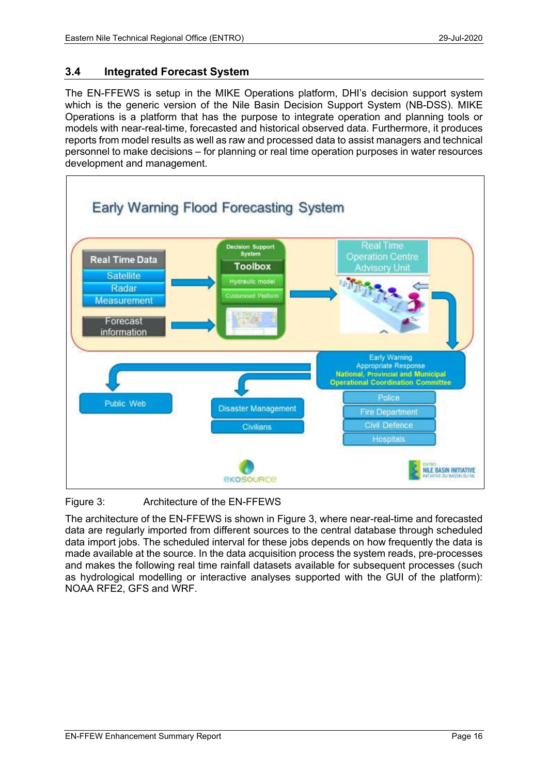# 3.4 Integrated Forecast System

The EN-FFEWS is setup in the MIKE Operations platform, DHI's decision support system which is the generic version of the Nile Basin Decision Support System (NB-DSS). MIKE Operations is a platform that has the purpose to integrate operation and planning tools or models with near-real-time, forecasted and historical observed data. Furthermore, it produces reports from model results as well as raw and processed data to assist managers and technical personnel to make decisions – for planning or real time operation purposes in water resources development and management.



### Figure 3: Architecture of the EN-FFEWS

The architecture of the EN-FFEWS is shown in Figure 3, where near-real-time and forecasted data are regularly imported from different sources to the central database through scheduled data import jobs. The scheduled interval for these jobs depends on how frequently the data is made available at the source. In the data acquisition process the system reads, pre-processes and makes the following real time rainfall datasets available for subsequent processes (such as hydrological modelling or interactive analyses supported with the GUI of the platform): NOAA RFE2, GFS and WRF.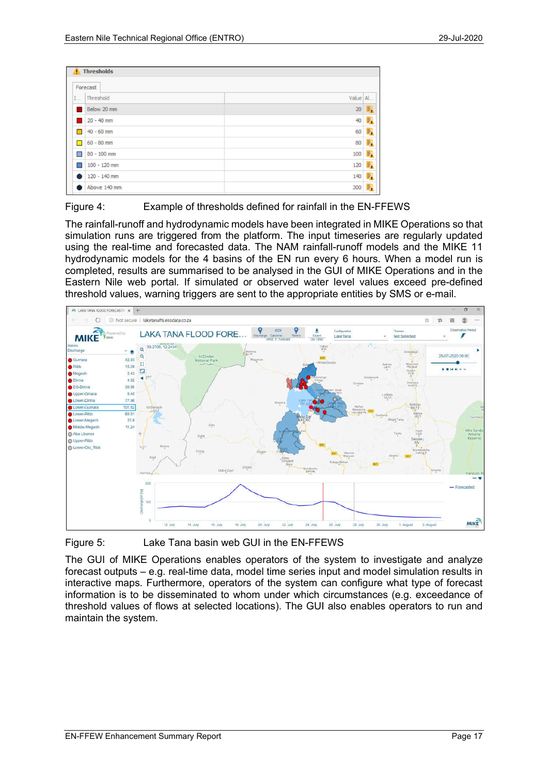|        | Forecast       |          |   |
|--------|----------------|----------|---|
| L      | Threshold      | Value Al |   |
|        | Below 20 mm    | 20       | 膱 |
|        | $20 - 40$ mm   | 40       | 騋 |
| П      | $40 - 60$ mm   | 60       | 蘄 |
| П      | $60 - 80$ mm   | 80       | 酼 |
| $\Box$ | 80 - 100 mm    | 100      | 霴 |
|        | $100 - 120$ mm | 120      | ₿ |
|        | 120 - 140 mm   | 140      | 騋 |
|        | Above 140 mm   | 300      | 獸 |



The rainfall-runoff and hydrodynamic models have been integrated in MIKE Operations so that simulation runs are triggered from the platform. The input timeseries are regularly updated using the real-time and forecasted data. The NAM rainfall-runoff models and the MIKE 11 hydrodynamic models for the 4 basins of the EN run every 6 hours. When a model run is completed, results are summarised to be analysed in the GUI of MIKE Operations and in the Eastern Nile web portal. If simulated or observed water level values exceed pre-defined threshold values, warning triggers are sent to the appropriate entities by SMS or e-mail.



Figure 5: Lake Tana basin web GUI in the EN-FFEWS

The GUI of MIKE Operations enables operators of the system to investigate and analyze forecast outputs – e.g. real-time data, model time series input and model simulation results in interactive maps. Furthermore, operators of the system can configure what type of forecast information is to be disseminated to whom under which circumstances (e.g. exceedance of threshold values of flows at selected locations). The GUI also enables operators to run and maintain the system.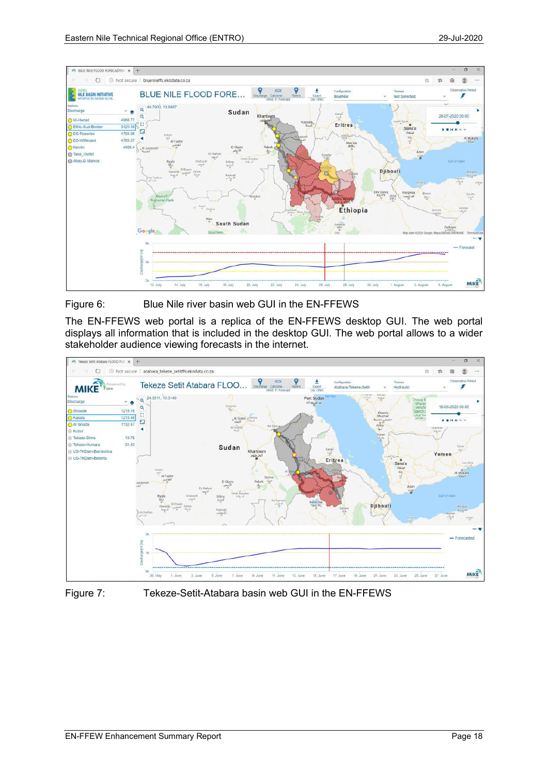

Figure 6: Blue Nile river basin web GUI in the EN-FFEWS

The EN-FFEWS web portal is a replica of the EN-FFEWS desktop GUI. The web portal displays all information that is included in the desktop GUI. The web portal allows to a wider stakeholder audience viewing forecasts in the internet.





Figure 7: Tekeze-Setit-Atabara basin web GUI in the EN-FFEWS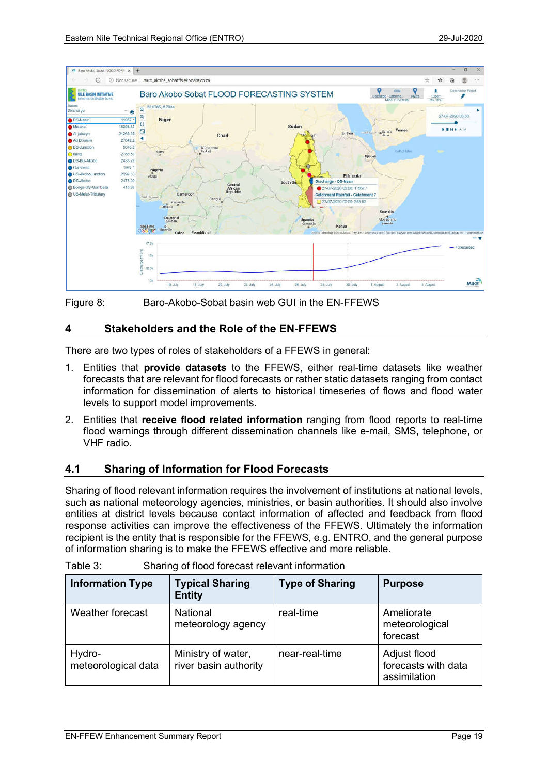

Figure 8: Baro-Akobo-Sobat basin web GUI in the EN-FFEWS

## 4 Stakeholders and the Role of the EN-FFEWS

There are two types of roles of stakeholders of a FFEWS in general:

- 1. Entities that provide datasets to the FFEWS, either real-time datasets like weather forecasts that are relevant for flood forecasts or rather static datasets ranging from contact information for dissemination of alerts to historical timeseries of flows and flood water levels to support model improvements.
- 2. Entities that receive flood related information ranging from flood reports to real-time flood warnings through different dissemination channels like e-mail, SMS, telephone, or VHF radio.

# 4.1 Sharing of Information for Flood Forecasts

Sharing of flood relevant information requires the involvement of institutions at national levels, such as national meteorology agencies, ministries, or basin authorities. It should also involve entities at district levels because contact information of affected and feedback from flood response activities can improve the effectiveness of the FFEWS. Ultimately the information recipient is the entity that is responsible for the FFEWS, e.g. ENTRO, and the general purpose of information sharing is to make the FFEWS effective and more reliable.

| <b>Information Type</b>       | <b>Typical Sharing</b><br><b>Entity</b>     | <b>Type of Sharing</b> | <b>Purpose</b>                                      |
|-------------------------------|---------------------------------------------|------------------------|-----------------------------------------------------|
| Weather forecast              | <b>National</b><br>meteorology agency       | real-time              | Ameliorate<br>meteorological<br>forecast            |
| Hydro-<br>meteorological data | Ministry of water,<br>river basin authority | near-real-time         | Adjust flood<br>forecasts with data<br>assimilation |

| Table 3: | Sharing of flood forecast relevant information |
|----------|------------------------------------------------|
|----------|------------------------------------------------|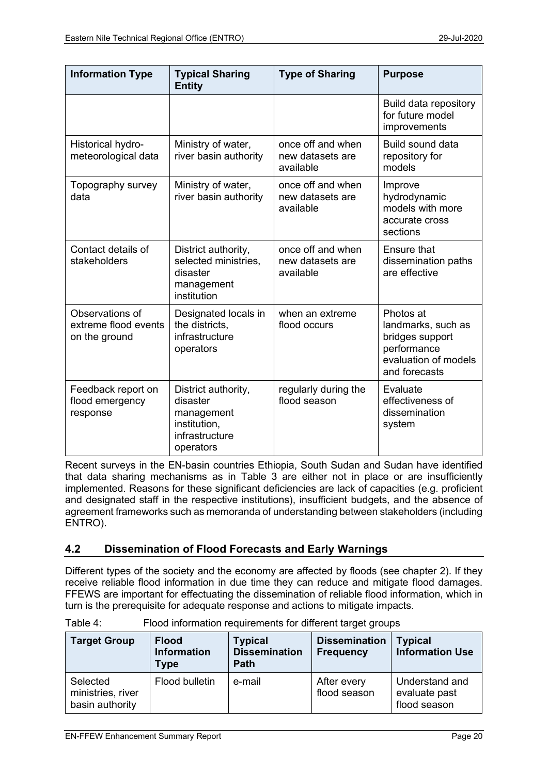| <b>Information Type</b>                                                                 | <b>Typical Sharing</b><br><b>Entity</b>                                                      | <b>Type of Sharing</b>                             | <b>Purpose</b>                                                                                             |
|-----------------------------------------------------------------------------------------|----------------------------------------------------------------------------------------------|----------------------------------------------------|------------------------------------------------------------------------------------------------------------|
|                                                                                         |                                                                                              |                                                    | Build data repository<br>for future model<br>improvements                                                  |
| Historical hydro-<br>Ministry of water,<br>river basin authority<br>meteorological data |                                                                                              | once off and when<br>new datasets are<br>available | Build sound data<br>repository for<br>models                                                               |
| Topography survey<br>data                                                               | Ministry of water,<br>river basin authority                                                  | once off and when<br>new datasets are<br>available | Improve<br>hydrodynamic<br>models with more<br>accurate cross<br>sections                                  |
| Contact details of<br>stakeholders                                                      | District authority,<br>selected ministries,<br>disaster<br>management<br>institution         | once off and when<br>new datasets are<br>available | <b>Ensure that</b><br>dissemination paths<br>are effective                                                 |
| Observations of<br>extreme flood events<br>on the ground                                | Designated locals in<br>the districts,<br>infrastructure<br>operators                        | when an extreme<br>flood occurs                    | Photos at<br>landmarks, such as<br>bridges support<br>performance<br>evaluation of models<br>and forecasts |
| Feedback report on<br>flood emergency<br>response                                       | District authority,<br>disaster<br>management<br>institution,<br>infrastructure<br>operators | regularly during the<br>flood season               | Evaluate<br>effectiveness of<br>dissemination<br>system                                                    |

Recent surveys in the EN-basin countries Ethiopia, South Sudan and Sudan have identified that data sharing mechanisms as in Table 3 are either not in place or are insufficiently implemented. Reasons for these significant deficiencies are lack of capacities (e.g. proficient and designated staff in the respective institutions), insufficient budgets, and the absence of agreement frameworks such as memoranda of understanding between stakeholders (including ENTRO).

# 4.2 Dissemination of Flood Forecasts and Early Warnings

Different types of the society and the economy are affected by floods (see chapter 2). If they receive reliable flood information in due time they can reduce and mitigate flood damages. FFEWS are important for effectuating the dissemination of reliable flood information, which in turn is the prerequisite for adequate response and actions to mitigate impacts.

| <b>Target Group</b>                              | <b>Flood</b><br><b>Information</b><br>Type | <b>Typical</b><br><b>Dissemination</b><br><b>Path</b> | <b>Dissemination</b><br><b>Frequency</b> | <b>Typical</b><br><b>Information Use</b>        |
|--------------------------------------------------|--------------------------------------------|-------------------------------------------------------|------------------------------------------|-------------------------------------------------|
| Selected<br>ministries, river<br>basin authority | Flood bulletin                             | e-mail                                                | After every<br>flood season              | Understand and<br>evaluate past<br>flood season |

Table 4: Flood information requirements for different target groups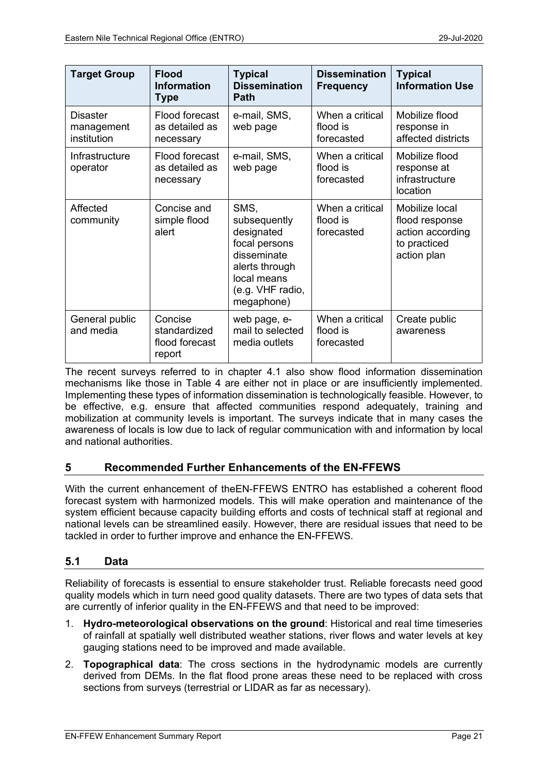| <b>Target Group</b>                          | <b>Flood</b><br><b>Information</b><br><b>Type</b>   | <b>Typical</b><br><b>Dissemination</b><br><b>Path</b>                                                                                 | <b>Dissemination</b><br><b>Frequency</b>  | <b>Typical</b><br><b>Information Use</b>                                            |
|----------------------------------------------|-----------------------------------------------------|---------------------------------------------------------------------------------------------------------------------------------------|-------------------------------------------|-------------------------------------------------------------------------------------|
| <b>Disaster</b><br>management<br>institution | Flood forecast<br>as detailed as<br>necessary       | e-mail, SMS,<br>web page                                                                                                              | When a critical<br>flood is<br>forecasted | Mobilize flood<br>response in<br>affected districts                                 |
| Infrastructure<br>operator                   | Flood forecast<br>as detailed as<br>necessary       | e-mail, SMS,<br>web page                                                                                                              | When a critical<br>flood is<br>forecasted | Mobilize flood<br>response at<br>infrastructure<br>location                         |
| Affected<br>community                        | Concise and<br>simple flood<br>alert                | SMS,<br>subsequently<br>designated<br>focal persons<br>disseminate<br>alerts through<br>local means<br>(e.g. VHF radio,<br>megaphone) | When a critical<br>flood is<br>forecasted | Mobilize local<br>flood response<br>action according<br>to practiced<br>action plan |
| General public<br>and media                  | Concise<br>standardized<br>flood forecast<br>report | web page, e-<br>mail to selected<br>media outlets                                                                                     | When a critical<br>flood is<br>forecasted | Create public<br>awareness                                                          |

The recent surveys referred to in chapter 4.1 also show flood information dissemination mechanisms like those in Table 4 are either not in place or are insufficiently implemented. Implementing these types of information dissemination is technologically feasible. However, to be effective, e.g. ensure that affected communities respond adequately, training and mobilization at community levels is important. The surveys indicate that in many cases the awareness of locals is low due to lack of regular communication with and information by local and national authorities.

# 5 Recommended Further Enhancements of the EN-FFEWS

With the current enhancement of theEN-FFEWS ENTRO has established a coherent flood forecast system with harmonized models. This will make operation and maintenance of the system efficient because capacity building efforts and costs of technical staff at regional and national levels can be streamlined easily. However, there are residual issues that need to be tackled in order to further improve and enhance the EN-FFEWS.

# 5.1 Data

Reliability of forecasts is essential to ensure stakeholder trust. Reliable forecasts need good quality models which in turn need good quality datasets. There are two types of data sets that are currently of inferior quality in the EN-FFEWS and that need to be improved:

- 1. Hydro-meteorological observations on the ground: Historical and real time timeseries of rainfall at spatially well distributed weather stations, river flows and water levels at key gauging stations need to be improved and made available.
- 2. Topographical data: The cross sections in the hydrodynamic models are currently derived from DEMs. In the flat flood prone areas these need to be replaced with cross sections from surveys (terrestrial or LIDAR as far as necessary).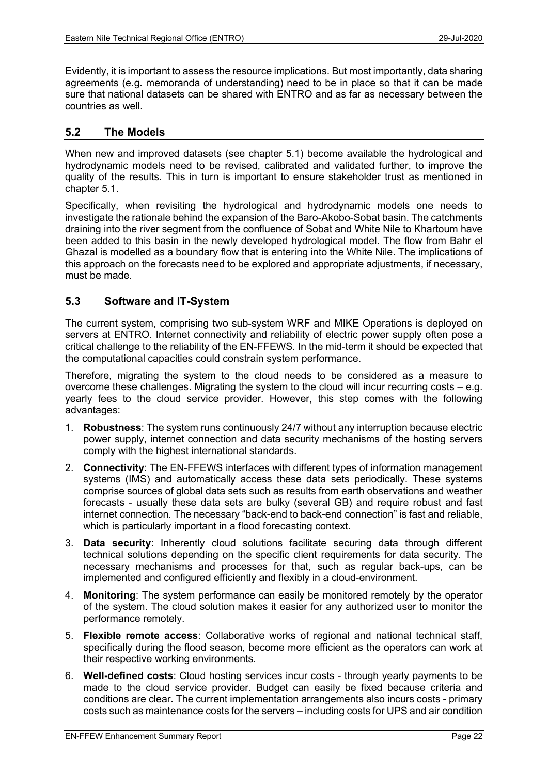Evidently, it is important to assess the resource implications. But most importantly, data sharing agreements (e.g. memoranda of understanding) need to be in place so that it can be made sure that national datasets can be shared with ENTRO and as far as necessary between the countries as well.

### 5.2 The Models

When new and improved datasets (see chapter 5.1) become available the hydrological and hydrodynamic models need to be revised, calibrated and validated further, to improve the quality of the results. This in turn is important to ensure stakeholder trust as mentioned in chapter 5.1.

Specifically, when revisiting the hydrological and hydrodynamic models one needs to investigate the rationale behind the expansion of the Baro-Akobo-Sobat basin. The catchments draining into the river segment from the confluence of Sobat and White Nile to Khartoum have been added to this basin in the newly developed hydrological model. The flow from Bahr el Ghazal is modelled as a boundary flow that is entering into the White Nile. The implications of this approach on the forecasts need to be explored and appropriate adjustments, if necessary, must be made.

### 5.3 Software and IT-System

The current system, comprising two sub-system WRF and MIKE Operations is deployed on servers at ENTRO. Internet connectivity and reliability of electric power supply often pose a critical challenge to the reliability of the EN-FFEWS. In the mid-term it should be expected that the computational capacities could constrain system performance.

Therefore, migrating the system to the cloud needs to be considered as a measure to overcome these challenges. Migrating the system to the cloud will incur recurring costs – e.g. yearly fees to the cloud service provider. However, this step comes with the following advantages:

- 1. Robustness: The system runs continuously 24/7 without any interruption because electric power supply, internet connection and data security mechanisms of the hosting servers comply with the highest international standards.
- 2. Connectivity: The EN-FFEWS interfaces with different types of information management systems (IMS) and automatically access these data sets periodically. These systems comprise sources of global data sets such as results from earth observations and weather forecasts - usually these data sets are bulky (several GB) and require robust and fast internet connection. The necessary "back-end to back-end connection" is fast and reliable, which is particularly important in a flood forecasting context.
- 3. Data security: Inherently cloud solutions facilitate securing data through different technical solutions depending on the specific client requirements for data security. The necessary mechanisms and processes for that, such as regular back-ups, can be implemented and configured efficiently and flexibly in a cloud-environment.
- 4. Monitoring: The system performance can easily be monitored remotely by the operator of the system. The cloud solution makes it easier for any authorized user to monitor the performance remotely.
- 5. Flexible remote access: Collaborative works of regional and national technical staff, specifically during the flood season, become more efficient as the operators can work at their respective working environments.
- 6. Well-defined costs: Cloud hosting services incur costs through yearly payments to be made to the cloud service provider. Budget can easily be fixed because criteria and conditions are clear. The current implementation arrangements also incurs costs - primary costs such as maintenance costs for the servers – including costs for UPS and air condition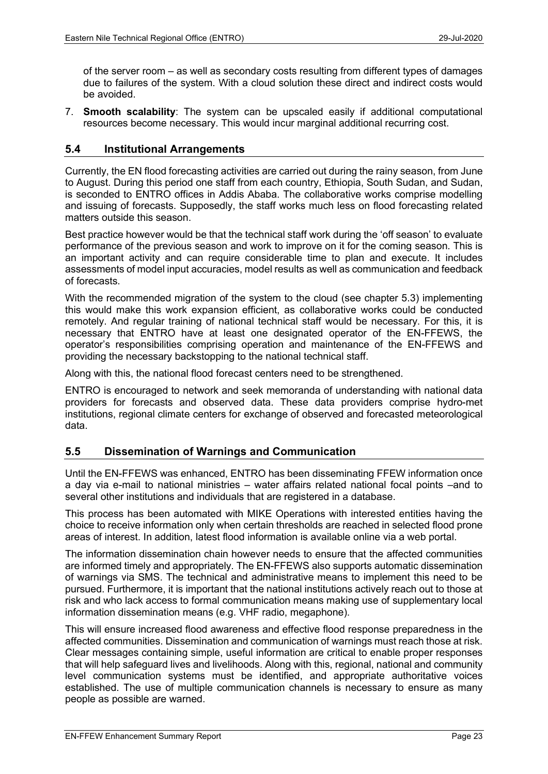of the server room – as well as secondary costs resulting from different types of damages due to failures of the system. With a cloud solution these direct and indirect costs would be avoided.

7. Smooth scalability: The system can be upscaled easily if additional computational resources become necessary. This would incur marginal additional recurring cost.

## 5.4 Institutional Arrangements

Currently, the EN flood forecasting activities are carried out during the rainy season, from June to August. During this period one staff from each country, Ethiopia, South Sudan, and Sudan, is seconded to ENTRO offices in Addis Ababa. The collaborative works comprise modelling and issuing of forecasts. Supposedly, the staff works much less on flood forecasting related matters outside this season.

Best practice however would be that the technical staff work during the 'off season' to evaluate performance of the previous season and work to improve on it for the coming season. This is an important activity and can require considerable time to plan and execute. It includes assessments of model input accuracies, model results as well as communication and feedback of forecasts.

With the recommended migration of the system to the cloud (see chapter 5.3) implementing this would make this work expansion efficient, as collaborative works could be conducted remotely. And regular training of national technical staff would be necessary. For this, it is necessary that ENTRO have at least one designated operator of the EN-FFEWS, the operator's responsibilities comprising operation and maintenance of the EN-FFEWS and providing the necessary backstopping to the national technical staff.

Along with this, the national flood forecast centers need to be strengthened.

ENTRO is encouraged to network and seek memoranda of understanding with national data providers for forecasts and observed data. These data providers comprise hydro-met institutions, regional climate centers for exchange of observed and forecasted meteorological data.

### 5.5 Dissemination of Warnings and Communication

Until the EN-FFEWS was enhanced, ENTRO has been disseminating FFEW information once a day via e-mail to national ministries – water affairs related national focal points –and to several other institutions and individuals that are registered in a database.

This process has been automated with MIKE Operations with interested entities having the choice to receive information only when certain thresholds are reached in selected flood prone areas of interest. In addition, latest flood information is available online via a web portal.

The information dissemination chain however needs to ensure that the affected communities are informed timely and appropriately. The EN-FFEWS also supports automatic dissemination of warnings via SMS. The technical and administrative means to implement this need to be pursued. Furthermore, it is important that the national institutions actively reach out to those at risk and who lack access to formal communication means making use of supplementary local information dissemination means (e.g. VHF radio, megaphone).

This will ensure increased flood awareness and effective flood response preparedness in the affected communities. Dissemination and communication of warnings must reach those at risk. Clear messages containing simple, useful information are critical to enable proper responses that will help safeguard lives and livelihoods. Along with this, regional, national and community level communication systems must be identified, and appropriate authoritative voices established. The use of multiple communication channels is necessary to ensure as many people as possible are warned.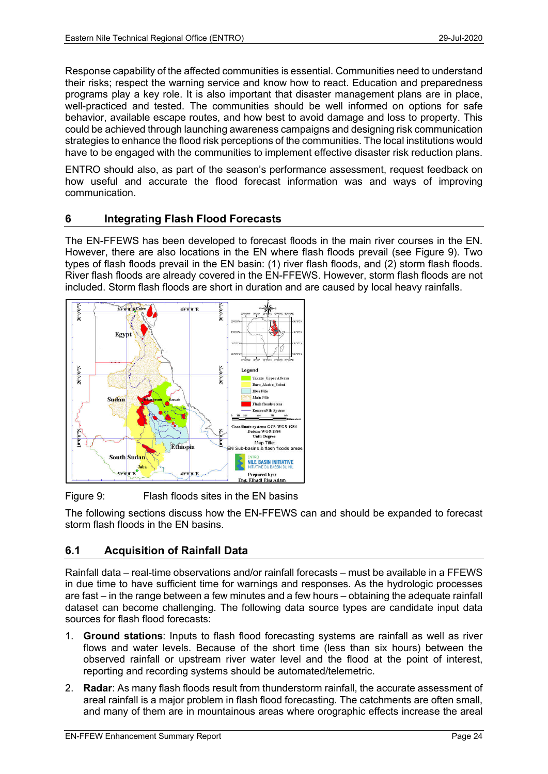Response capability of the affected communities is essential. Communities need to understand their risks; respect the warning service and know how to react. Education and preparedness programs play a key role. It is also important that disaster management plans are in place, well-practiced and tested. The communities should be well informed on options for safe behavior, available escape routes, and how best to avoid damage and loss to property. This could be achieved through launching awareness campaigns and designing risk communication strategies to enhance the flood risk perceptions of the communities. The local institutions would have to be engaged with the communities to implement effective disaster risk reduction plans.

ENTRO should also, as part of the season's performance assessment, request feedback on how useful and accurate the flood forecast information was and ways of improving communication.

# 6 Integrating Flash Flood Forecasts

The EN-FFEWS has been developed to forecast floods in the main river courses in the EN. However, there are also locations in the EN where flash floods prevail (see Figure 9). Two types of flash floods prevail in the EN basin: (1) river flash floods, and (2) storm flash floods. River flash floods are already covered in the EN-FFEWS. However, storm flash floods are not included. Storm flash floods are short in duration and are caused by local heavy rainfalls.



Figure 9: Flash floods sites in the EN basins

The following sections discuss how the EN-FFEWS can and should be expanded to forecast storm flash floods in the EN basins.

# 6.1 Acquisition of Rainfall Data

Rainfall data – real-time observations and/or rainfall forecasts – must be available in a FFEWS in due time to have sufficient time for warnings and responses. As the hydrologic processes are fast – in the range between a few minutes and a few hours – obtaining the adequate rainfall dataset can become challenging. The following data source types are candidate input data sources for flash flood forecasts:

- 1. Ground stations: Inputs to flash flood forecasting systems are rainfall as well as river flows and water levels. Because of the short time (less than six hours) between the observed rainfall or upstream river water level and the flood at the point of interest, reporting and recording systems should be automated/telemetric.
- 2. Radar: As many flash floods result from thunderstorm rainfall, the accurate assessment of areal rainfall is a major problem in flash flood forecasting. The catchments are often small, and many of them are in mountainous areas where orographic effects increase the areal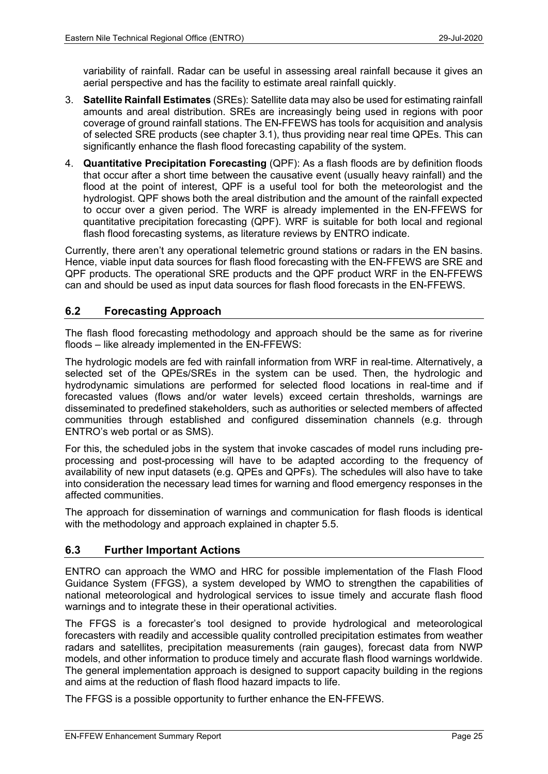variability of rainfall. Radar can be useful in assessing areal rainfall because it gives an aerial perspective and has the facility to estimate areal rainfall quickly.

- 3. Satellite Rainfall Estimates (SREs): Satellite data may also be used for estimating rainfall amounts and areal distribution. SREs are increasingly being used in regions with poor coverage of ground rainfall stations. The EN-FFEWS has tools for acquisition and analysis of selected SRE products (see chapter 3.1), thus providing near real time QPEs. This can significantly enhance the flash flood forecasting capability of the system.
- 4. Quantitative Precipitation Forecasting (QPF): As a flash floods are by definition floods that occur after a short time between the causative event (usually heavy rainfall) and the flood at the point of interest, QPF is a useful tool for both the meteorologist and the hydrologist. QPF shows both the areal distribution and the amount of the rainfall expected to occur over a given period. The WRF is already implemented in the EN-FFEWS for quantitative precipitation forecasting (QPF). WRF is suitable for both local and regional flash flood forecasting systems, as literature reviews by ENTRO indicate.

Currently, there aren't any operational telemetric ground stations or radars in the EN basins. Hence, viable input data sources for flash flood forecasting with the EN-FFEWS are SRE and QPF products. The operational SRE products and the QPF product WRF in the EN-FFEWS can and should be used as input data sources for flash flood forecasts in the EN-FFEWS.

# 6.2 Forecasting Approach

The flash flood forecasting methodology and approach should be the same as for riverine floods – like already implemented in the EN-FFEWS:

The hydrologic models are fed with rainfall information from WRF in real-time. Alternatively, a selected set of the QPEs/SREs in the system can be used. Then, the hydrologic and hydrodynamic simulations are performed for selected flood locations in real-time and if forecasted values (flows and/or water levels) exceed certain thresholds, warnings are disseminated to predefined stakeholders, such as authorities or selected members of affected communities through established and configured dissemination channels (e.g. through ENTRO's web portal or as SMS).

For this, the scheduled jobs in the system that invoke cascades of model runs including preprocessing and post-processing will have to be adapted according to the frequency of availability of new input datasets (e.g. QPEs and QPFs). The schedules will also have to take into consideration the necessary lead times for warning and flood emergency responses in the affected communities.

The approach for dissemination of warnings and communication for flash floods is identical with the methodology and approach explained in chapter 5.5.

### 6.3 Further Important Actions

ENTRO can approach the WMO and HRC for possible implementation of the Flash Flood Guidance System (FFGS), a system developed by WMO to strengthen the capabilities of national meteorological and hydrological services to issue timely and accurate flash flood warnings and to integrate these in their operational activities.

The FFGS is a forecaster's tool designed to provide hydrological and meteorological forecasters with readily and accessible quality controlled precipitation estimates from weather radars and satellites, precipitation measurements (rain gauges), forecast data from NWP models, and other information to produce timely and accurate flash flood warnings worldwide. The general implementation approach is designed to support capacity building in the regions and aims at the reduction of flash flood hazard impacts to life.

The FFGS is a possible opportunity to further enhance the EN-FFEWS.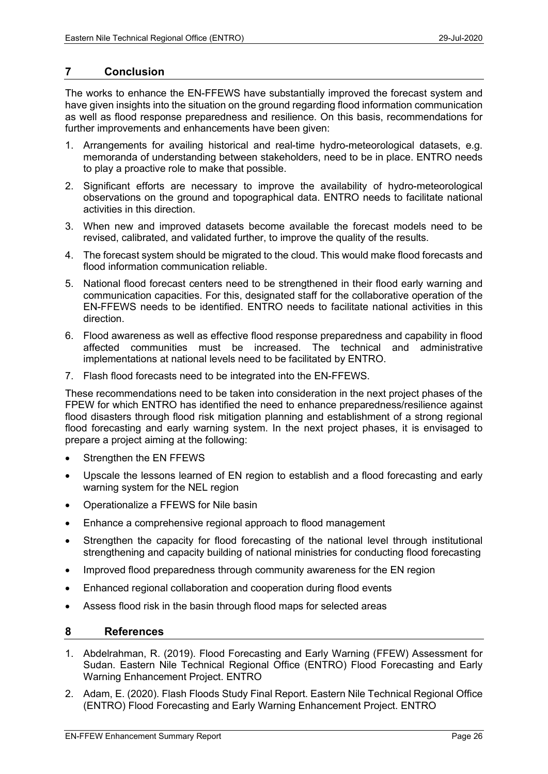#### 7 Conclusion

The works to enhance the EN-FFEWS have substantially improved the forecast system and have given insights into the situation on the ground regarding flood information communication as well as flood response preparedness and resilience. On this basis, recommendations for further improvements and enhancements have been given:

- 1. Arrangements for availing historical and real-time hydro-meteorological datasets, e.g. memoranda of understanding between stakeholders, need to be in place. ENTRO needs to play a proactive role to make that possible.
- 2. Significant efforts are necessary to improve the availability of hydro-meteorological observations on the ground and topographical data. ENTRO needs to facilitate national activities in this direction.
- 3. When new and improved datasets become available the forecast models need to be revised, calibrated, and validated further, to improve the quality of the results.
- 4. The forecast system should be migrated to the cloud. This would make flood forecasts and flood information communication reliable.
- 5. National flood forecast centers need to be strengthened in their flood early warning and communication capacities. For this, designated staff for the collaborative operation of the EN-FFEWS needs to be identified. ENTRO needs to facilitate national activities in this direction.
- 6. Flood awareness as well as effective flood response preparedness and capability in flood affected communities must be increased. The technical and administrative implementations at national levels need to be facilitated by ENTRO.
- 7. Flash flood forecasts need to be integrated into the EN-FFEWS.

These recommendations need to be taken into consideration in the next project phases of the FPEW for which ENTRO has identified the need to enhance preparedness/resilience against flood disasters through flood risk mitigation planning and establishment of a strong regional flood forecasting and early warning system. In the next project phases, it is envisaged to prepare a project aiming at the following:

- Strengthen the EN FFEWS
- Upscale the lessons learned of EN region to establish and a flood forecasting and early warning system for the NEL region
- Operationalize a FFEWS for Nile basin
- Enhance a comprehensive regional approach to flood management
- Strengthen the capacity for flood forecasting of the national level through institutional strengthening and capacity building of national ministries for conducting flood forecasting
- Improved flood preparedness through community awareness for the EN region
- Enhanced regional collaboration and cooperation during flood events
- Assess flood risk in the basin through flood maps for selected areas

#### 8 References

- 1. Abdelrahman, R. (2019). Flood Forecasting and Early Warning (FFEW) Assessment for Sudan. Eastern Nile Technical Regional Office (ENTRO) Flood Forecasting and Early Warning Enhancement Project. ENTRO
- 2. Adam, E. (2020). Flash Floods Study Final Report. Eastern Nile Technical Regional Office (ENTRO) Flood Forecasting and Early Warning Enhancement Project. ENTRO